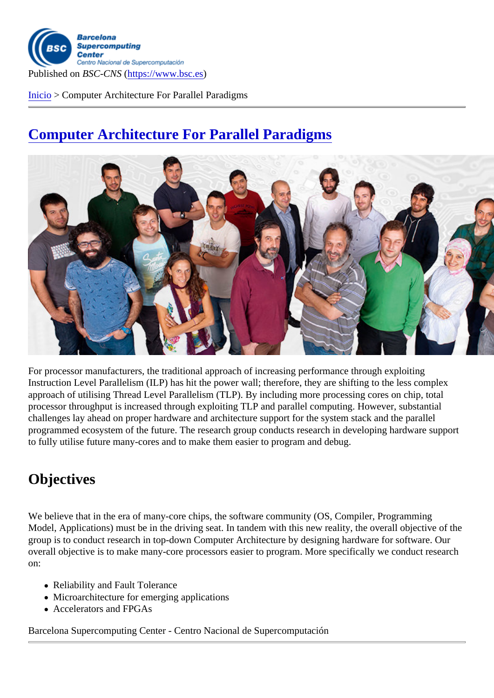Inicio > Computer Architecture For Parallel Paradigms

## [Com](https://www.bsc.es/es)puter Architecture For Parallel Paradigms

For processor manufacturers, the traditional approach of increasing performance through exploiting Instruction Level Parallelism (ILP) has hit the power wall; therefore, they are shifting to the less complex approach of utilising Thread Level Parallelism (TLP). By including more processing cores on chip, total processor throughput is increased through exploiting TLP and parallel computing. However, substantial challenges lay ahead on proper hardware and architecture support for the system stack and the parallel programmed ecosystem of the future. The research group conducts research in developing hardware support to fully utilise future many-cores and to make them easier to program and debug.

## **Objectives**

We believe that in the era of many-core chips, the software community (OS, Compiler, Programming Model, Applications) must be in the driving seat. In tandem with this new reality, the overall objective of the group is to conduct research in top-down Computer Architecture by designing hardware for software. Our overall objective is to make many-core processors easier to program. More specifically we conduct research on:

- Reliability and Fault Tolerance
- Microarchitecture for emerging applications
- Accelerators and FPGAs

Barcelona Supercomputing Center - Centro Nacional de Supercomputación